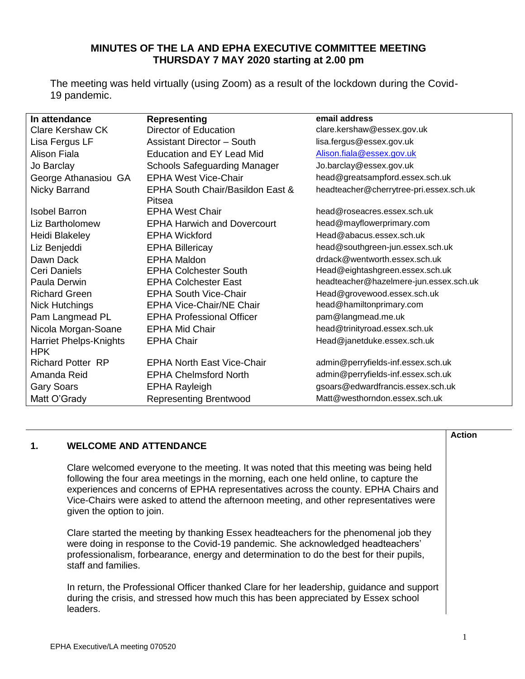# **MINUTES OF THE LA AND EPHA EXECUTIVE COMMITTEE MEETING THURSDAY 7 MAY 2020 starting at 2.00 pm**

The meeting was held virtually (using Zoom) as a result of the lockdown during the Covid-19 pandemic.

| In attendance                               | <b>Representing</b>                        | email address                           |
|---------------------------------------------|--------------------------------------------|-----------------------------------------|
| <b>Clare Kershaw CK</b>                     | Director of Education                      | clare.kershaw@essex.gov.uk              |
| Lisa Fergus LF                              | <b>Assistant Director - South</b>          | lisa.fergus@essex.gov.uk                |
| <b>Alison Fiala</b>                         | <b>Education and EY Lead Mid</b>           | Alison.fiala@essex.gov.uk               |
| Jo Barclay                                  | <b>Schools Safeguarding Manager</b>        | Jo.barclay@essex.gov.uk                 |
| George Athanasiou GA                        | <b>EPHA West Vice-Chair</b>                | head@greatsampford.essex.sch.uk         |
| Nicky Barrand                               | EPHA South Chair/Basildon East &<br>Pitsea | headteacher@cherrytree-pri.essex.sch.uk |
| <b>Isobel Barron</b>                        | <b>EPHA West Chair</b>                     | head@roseacres.essex.sch.uk             |
| Liz Bartholomew                             | <b>EPHA Harwich and Dovercourt</b>         | head@mayflowerprimary.com               |
| Heidi Blakeley                              | <b>EPHA Wickford</b>                       | Head@abacus.essex.sch.uk                |
| Liz Benjeddi                                | <b>EPHA Billericay</b>                     | head@southgreen-jun.essex.sch.uk        |
| Dawn Dack                                   | <b>EPHA Maldon</b>                         | drdack@wentworth.essex.sch.uk           |
| Ceri Daniels                                | <b>EPHA Colchester South</b>               | Head@eightashgreen.essex.sch.uk         |
| Paula Derwin                                | <b>EPHA Colchester East</b>                | headteacher@hazelmere-jun.essex.sch.uk  |
| <b>Richard Green</b>                        | <b>EPHA South Vice-Chair</b>               | Head@grovewood.essex.sch.uk             |
| <b>Nick Hutchings</b>                       | <b>EPHA Vice-Chair/NE Chair</b>            | head@hamiltonprimary.com                |
| Pam Langmead PL                             | <b>EPHA Professional Officer</b>           | pam@langmead.me.uk                      |
| Nicola Morgan-Soane                         | <b>EPHA Mid Chair</b>                      | head@trinityroad.essex.sch.uk           |
| <b>Harriet Phelps-Knights</b><br><b>HPK</b> | <b>EPHA Chair</b>                          | Head@janetduke.essex.sch.uk             |
| <b>Richard Potter RP</b>                    | <b>EPHA North East Vice-Chair</b>          | admin@perryfields-inf.essex.sch.uk      |
| Amanda Reid                                 | <b>EPHA Chelmsford North</b>               | admin@perryfields-inf.essex.sch.uk      |
| <b>Gary Soars</b>                           | <b>EPHA Rayleigh</b>                       | gsoars@edwardfrancis.essex.sch.uk       |
| Matt O'Grady                                | <b>Representing Brentwood</b>              | Matt@westhorndon.essex.sch.uk           |

## **1. WELCOME AND ATTENDANCE**

Clare welcomed everyone to the meeting. It was noted that this meeting was being held following the four area meetings in the morning, each one held online, to capture the experiences and concerns of EPHA representatives across the county. EPHA Chairs and Vice-Chairs were asked to attend the afternoon meeting, and other representatives were given the option to join.

Clare started the meeting by thanking Essex headteachers for the phenomenal job they were doing in response to the Covid-19 pandemic. She acknowledged headteachers' professionalism, forbearance, energy and determination to do the best for their pupils, staff and families.

In return, the Professional Officer thanked Clare for her leadership, guidance and support during the crisis, and stressed how much this has been appreciated by Essex school leaders.

**Action**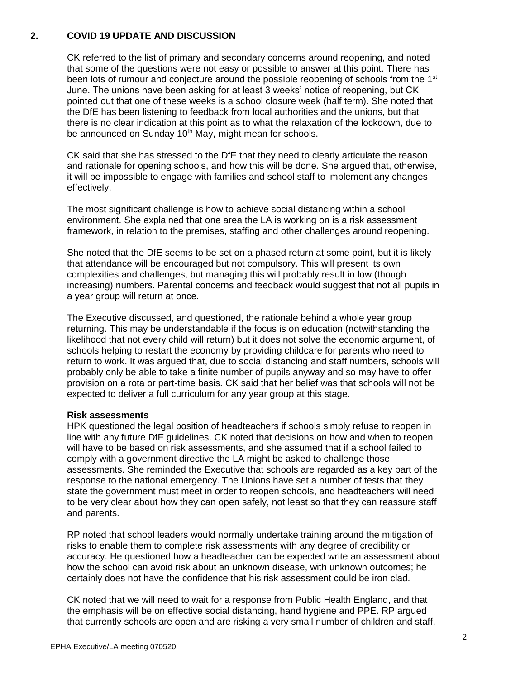# **2. COVID 19 UPDATE AND DISCUSSION**

CK referred to the list of primary and secondary concerns around reopening, and noted that some of the questions were not easy or possible to answer at this point. There has been lots of rumour and conjecture around the possible reopening of schools from the 1<sup>st</sup> June. The unions have been asking for at least 3 weeks' notice of reopening, but CK pointed out that one of these weeks is a school closure week (half term). She noted that the DfE has been listening to feedback from local authorities and the unions, but that there is no clear indication at this point as to what the relaxation of the lockdown, due to be announced on Sunday 10<sup>th</sup> May, might mean for schools.

CK said that she has stressed to the DfE that they need to clearly articulate the reason and rationale for opening schools, and how this will be done. She argued that, otherwise, it will be impossible to engage with families and school staff to implement any changes effectively.

The most significant challenge is how to achieve social distancing within a school environment. She explained that one area the LA is working on is a risk assessment framework, in relation to the premises, staffing and other challenges around reopening.

She noted that the DfE seems to be set on a phased return at some point, but it is likely that attendance will be encouraged but not compulsory. This will present its own complexities and challenges, but managing this will probably result in low (though increasing) numbers. Parental concerns and feedback would suggest that not all pupils in a year group will return at once.

The Executive discussed, and questioned, the rationale behind a whole year group returning. This may be understandable if the focus is on education (notwithstanding the likelihood that not every child will return) but it does not solve the economic argument, of schools helping to restart the economy by providing childcare for parents who need to return to work. It was argued that, due to social distancing and staff numbers, schools will probably only be able to take a finite number of pupils anyway and so may have to offer provision on a rota or part-time basis. CK said that her belief was that schools will not be expected to deliver a full curriculum for any year group at this stage.

## **Risk assessments**

HPK questioned the legal position of headteachers if schools simply refuse to reopen in line with any future DfE guidelines. CK noted that decisions on how and when to reopen will have to be based on risk assessments, and she assumed that if a school failed to comply with a government directive the LA might be asked to challenge those assessments. She reminded the Executive that schools are regarded as a key part of the response to the national emergency. The Unions have set a number of tests that they state the government must meet in order to reopen schools, and headteachers will need to be very clear about how they can open safely, not least so that they can reassure staff and parents.

RP noted that school leaders would normally undertake training around the mitigation of risks to enable them to complete risk assessments with any degree of credibility or accuracy. He questioned how a headteacher can be expected write an assessment about how the school can avoid risk about an unknown disease, with unknown outcomes; he certainly does not have the confidence that his risk assessment could be iron clad.

CK noted that we will need to wait for a response from Public Health England, and that the emphasis will be on effective social distancing, hand hygiene and PPE. RP argued that currently schools are open and are risking a very small number of children and staff,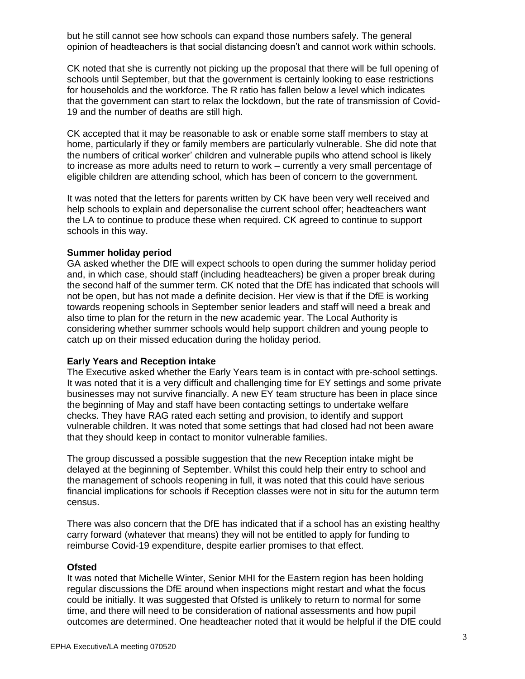but he still cannot see how schools can expand those numbers safely. The general opinion of headteachers is that social distancing doesn't and cannot work within schools.

CK noted that she is currently not picking up the proposal that there will be full opening of schools until September, but that the government is certainly looking to ease restrictions for households and the workforce. The R ratio has fallen below a level which indicates that the government can start to relax the lockdown, but the rate of transmission of Covid-19 and the number of deaths are still high.

CK accepted that it may be reasonable to ask or enable some staff members to stay at home, particularly if they or family members are particularly vulnerable. She did note that the numbers of critical worker' children and vulnerable pupils who attend school is likely to increase as more adults need to return to work – currently a very small percentage of eligible children are attending school, which has been of concern to the government.

It was noted that the letters for parents written by CK have been very well received and help schools to explain and depersonalise the current school offer; headteachers want the LA to continue to produce these when required. CK agreed to continue to support schools in this way.

# **Summer holiday period**

GA asked whether the DfE will expect schools to open during the summer holiday period and, in which case, should staff (including headteachers) be given a proper break during the second half of the summer term. CK noted that the DfE has indicated that schools will not be open, but has not made a definite decision. Her view is that if the DfE is working towards reopening schools in September senior leaders and staff will need a break and also time to plan for the return in the new academic year. The Local Authority is considering whether summer schools would help support children and young people to catch up on their missed education during the holiday period.

#### **Early Years and Reception intake**

The Executive asked whether the Early Years team is in contact with pre-school settings. It was noted that it is a very difficult and challenging time for EY settings and some private businesses may not survive financially. A new EY team structure has been in place since the beginning of May and staff have been contacting settings to undertake welfare checks. They have RAG rated each setting and provision, to identify and support vulnerable children. It was noted that some settings that had closed had not been aware that they should keep in contact to monitor vulnerable families.

The group discussed a possible suggestion that the new Reception intake might be delayed at the beginning of September. Whilst this could help their entry to school and the management of schools reopening in full, it was noted that this could have serious financial implications for schools if Reception classes were not in situ for the autumn term census.

There was also concern that the DfE has indicated that if a school has an existing healthy carry forward (whatever that means) they will not be entitled to apply for funding to reimburse Covid-19 expenditure, despite earlier promises to that effect.

#### **Ofsted**

It was noted that Michelle Winter, Senior MHI for the Eastern region has been holding regular discussions the DfE around when inspections might restart and what the focus could be initially. It was suggested that Ofsted is unlikely to return to normal for some time, and there will need to be consideration of national assessments and how pupil outcomes are determined. One headteacher noted that it would be helpful if the DfE could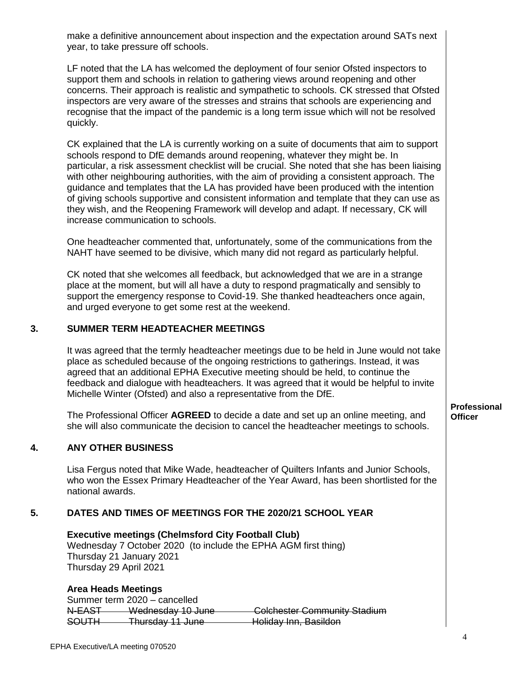make a definitive announcement about inspection and the expectation around SATs next year, to take pressure off schools.

LF noted that the LA has welcomed the deployment of four senior Ofsted inspectors to support them and schools in relation to gathering views around reopening and other concerns. Their approach is realistic and sympathetic to schools. CK stressed that Ofsted inspectors are very aware of the stresses and strains that schools are experiencing and recognise that the impact of the pandemic is a long term issue which will not be resolved quickly.

CK explained that the LA is currently working on a suite of documents that aim to support schools respond to DfE demands around reopening, whatever they might be. In particular, a risk assessment checklist will be crucial. She noted that she has been liaising with other neighbouring authorities, with the aim of providing a consistent approach. The guidance and templates that the LA has provided have been produced with the intention of giving schools supportive and consistent information and template that they can use as they wish, and the Reopening Framework will develop and adapt. If necessary, CK will increase communication to schools.

One headteacher commented that, unfortunately, some of the communications from the NAHT have seemed to be divisive, which many did not regard as particularly helpful.

CK noted that she welcomes all feedback, but acknowledged that we are in a strange place at the moment, but will all have a duty to respond pragmatically and sensibly to support the emergency response to Covid-19. She thanked headteachers once again, and urged everyone to get some rest at the weekend.

# **3. SUMMER TERM HEADTEACHER MEETINGS**

It was agreed that the termly headteacher meetings due to be held in June would not take place as scheduled because of the ongoing restrictions to gatherings. Instead, it was agreed that an additional EPHA Executive meeting should be held, to continue the feedback and dialogue with headteachers. It was agreed that it would be helpful to invite Michelle Winter (Ofsted) and also a representative from the DfE.

The Professional Officer **AGREED** to decide a date and set up an online meeting, and she will also communicate the decision to cancel the headteacher meetings to schools.

# **4. ANY OTHER BUSINESS**

Lisa Fergus noted that Mike Wade, headteacher of Quilters Infants and Junior Schools, who won the Essex Primary Headteacher of the Year Award, has been shortlisted for the national awards.

## **5. DATES AND TIMES OF MEETINGS FOR THE 2020/21 SCHOOL YEAR**

**Executive meetings (Chelmsford City Football Club)**

Wednesday 7 October 2020 (to include the EPHA AGM first thing) Thursday 21 January 2021 Thursday 29 April 2021

## **Area Heads Meetings**

Summer term 2020 – cancelled N-EAST Wednesday 10 June Colchester Community Stadium SOUTH Thursday 11 June Holiday Inn, Basildon